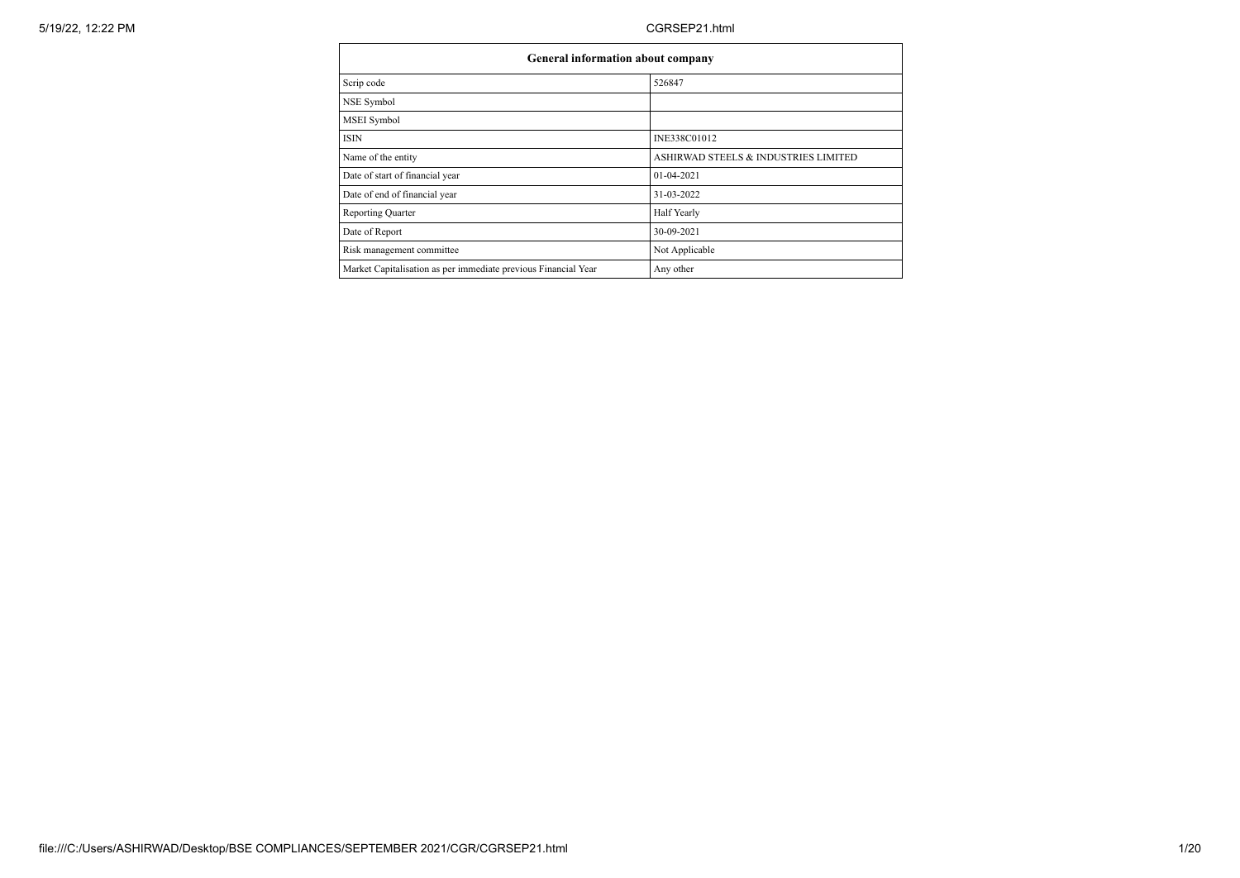| <b>General information about company</b>                       |                                      |  |  |  |  |  |  |
|----------------------------------------------------------------|--------------------------------------|--|--|--|--|--|--|
| Scrip code                                                     | 526847                               |  |  |  |  |  |  |
| NSE Symbol                                                     |                                      |  |  |  |  |  |  |
| MSEI Symbol                                                    |                                      |  |  |  |  |  |  |
| <b>ISIN</b>                                                    | INE338C01012                         |  |  |  |  |  |  |
| Name of the entity                                             | ASHIRWAD STEELS & INDUSTRIES LIMITED |  |  |  |  |  |  |
| Date of start of financial year                                | $01-04-2021$                         |  |  |  |  |  |  |
| Date of end of financial year                                  | 31-03-2022                           |  |  |  |  |  |  |
| <b>Reporting Quarter</b>                                       | Half Yearly                          |  |  |  |  |  |  |
| Date of Report                                                 | 30-09-2021                           |  |  |  |  |  |  |
| Risk management committee                                      | Not Applicable                       |  |  |  |  |  |  |
| Market Capitalisation as per immediate previous Financial Year | Any other                            |  |  |  |  |  |  |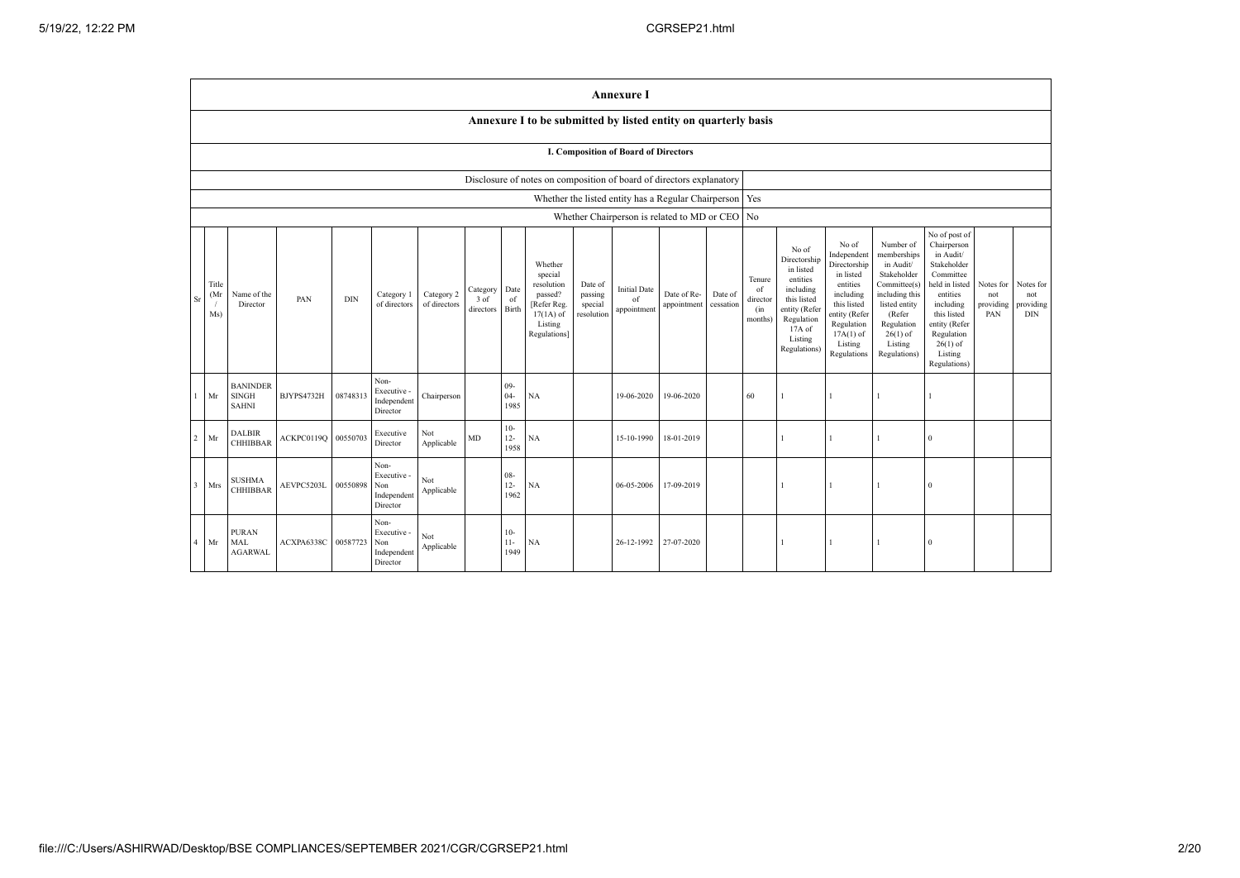|                |                                                                                                                                                                                                                                                                                                                                                                                                                                                    | <b>Annexure I</b>                               |                     |          |                                                       |                                            |                                                                                                                                                |                                                                                                                                                                   |                                                                                                                                                                          |                                                                                                                                                                                                         |                                      |                                                         |  |    |  |              |  |          |  |  |
|----------------|----------------------------------------------------------------------------------------------------------------------------------------------------------------------------------------------------------------------------------------------------------------------------------------------------------------------------------------------------------------------------------------------------------------------------------------------------|-------------------------------------------------|---------------------|----------|-------------------------------------------------------|--------------------------------------------|------------------------------------------------------------------------------------------------------------------------------------------------|-------------------------------------------------------------------------------------------------------------------------------------------------------------------|--------------------------------------------------------------------------------------------------------------------------------------------------------------------------|---------------------------------------------------------------------------------------------------------------------------------------------------------------------------------------------------------|--------------------------------------|---------------------------------------------------------|--|----|--|--------------|--|----------|--|--|
|                |                                                                                                                                                                                                                                                                                                                                                                                                                                                    |                                                 |                     |          |                                                       |                                            |                                                                                                                                                |                                                                                                                                                                   | Annexure I to be submitted by listed entity on quarterly basis                                                                                                           |                                                                                                                                                                                                         |                                      |                                                         |  |    |  |              |  |          |  |  |
|                | <b>I. Composition of Board of Directors</b>                                                                                                                                                                                                                                                                                                                                                                                                        |                                                 |                     |          |                                                       |                                            |                                                                                                                                                |                                                                                                                                                                   |                                                                                                                                                                          |                                                                                                                                                                                                         |                                      |                                                         |  |    |  |              |  |          |  |  |
|                |                                                                                                                                                                                                                                                                                                                                                                                                                                                    |                                                 |                     |          |                                                       |                                            |                                                                                                                                                |                                                                                                                                                                   | Disclosure of notes on composition of board of directors explanatory                                                                                                     |                                                                                                                                                                                                         |                                      |                                                         |  |    |  |              |  |          |  |  |
|                |                                                                                                                                                                                                                                                                                                                                                                                                                                                    |                                                 |                     |          |                                                       |                                            |                                                                                                                                                |                                                                                                                                                                   |                                                                                                                                                                          |                                                                                                                                                                                                         |                                      | Whether the listed entity has a Regular Chairperson Yes |  |    |  |              |  |          |  |  |
|                |                                                                                                                                                                                                                                                                                                                                                                                                                                                    |                                                 |                     |          |                                                       |                                            |                                                                                                                                                |                                                                                                                                                                   |                                                                                                                                                                          |                                                                                                                                                                                                         |                                      | Whether Chairperson is related to MD or CEO No          |  |    |  |              |  |          |  |  |
| Sr             | Whether<br>special<br>Title<br>resolution<br>Date of<br><b>Initial Date</b><br>Date<br>Category<br>Date of Re-<br>(Mr<br>Name of the<br>Category 2<br>passed?<br>passing<br>Date of<br>Category 1<br>PAN<br><b>DIN</b><br>$3$ of<br>of<br>of<br>of directors<br>[Refer Reg.<br>cessation<br>Director<br>of directors<br>special<br>appointment<br>Birth<br>directors<br>appointment<br>Ms)<br>resolution<br>$17(1A)$ of<br>Listing<br>Regulations] |                                                 |                     |          |                                                       | Tenure<br>of<br>director<br>(in<br>months) | No of<br>Directorship<br>in listed<br>entities<br>including<br>this listed<br>entity (Refer<br>Regulation<br>17A of<br>Listing<br>Regulations) | No of<br>Independent<br>Directorship<br>in listed<br>entities<br>including<br>this listed<br>entity (Refer<br>Regulation<br>$17A(1)$ of<br>Listing<br>Regulations | Number of<br>memberships<br>in Audit/<br>Stakeholder<br>Committee(s)<br>including this<br>listed entity<br>(Refer<br>Regulation<br>$26(1)$ of<br>Listing<br>Regulations) | No of post of<br>Chairperson<br>in Audit/<br>Stakeholder<br>Committee<br>held in listed<br>entities<br>including<br>this listed<br>entity (Refer<br>Regulation<br>$26(1)$ of<br>Listing<br>Regulations) | Notes for<br>not<br>providing<br>PAN | Notes for<br>not<br>providing<br><b>DIN</b>             |  |    |  |              |  |          |  |  |
|                | Mr                                                                                                                                                                                                                                                                                                                                                                                                                                                 | <b>BANINDER</b><br><b>SINGH</b><br><b>SAHNI</b> | BJYPS4732H          | 08748313 | Non-<br>Executive -<br>Independent<br>Director        | Chairperson                                |                                                                                                                                                | $09 -$<br>$04 -$<br>1985                                                                                                                                          | NA                                                                                                                                                                       |                                                                                                                                                                                                         | 19-06-2020                           | 19-06-2020                                              |  | 60 |  |              |  |          |  |  |
| $\overline{c}$ | Mr                                                                                                                                                                                                                                                                                                                                                                                                                                                 | <b>DALBIR</b><br><b>CHHIBBAR</b>                | ACKPC0119Q          | 00550703 | Executive<br>Director                                 | Not<br>Applicable                          | MD                                                                                                                                             | $10-$<br>$12 -$<br>1958                                                                                                                                           | NA                                                                                                                                                                       |                                                                                                                                                                                                         | 15-10-1990                           | 18-01-2019                                              |  |    |  |              |  | $\Omega$ |  |  |
| $\overline{3}$ | Mrs                                                                                                                                                                                                                                                                                                                                                                                                                                                | <b>SUSHMA</b><br><b>CHHIBBAR</b>                | AEVPC5203L 00550898 |          | Non-<br>Executive -<br>Non<br>Independent<br>Director | Not<br>Applicable                          |                                                                                                                                                | $08 -$<br>$12 -$<br>1962                                                                                                                                          | NA                                                                                                                                                                       |                                                                                                                                                                                                         | 06-05-2006                           | 17-09-2019                                              |  |    |  | $\mathbf{1}$ |  | $\Omega$ |  |  |
| $\overline{4}$ | Mr                                                                                                                                                                                                                                                                                                                                                                                                                                                 | <b>PURAN</b><br>MAL<br><b>AGARWAL</b>           | ACXPA6338C          | 00587723 | Non-<br>Executive -<br>Non<br>Independent<br>Director | Not<br>Applicable                          |                                                                                                                                                | $10-$<br>$11 -$<br>1949                                                                                                                                           | NA                                                                                                                                                                       |                                                                                                                                                                                                         | 26-12-1992                           | 27-07-2020                                              |  |    |  | $\mathbf{1}$ |  | $\theta$ |  |  |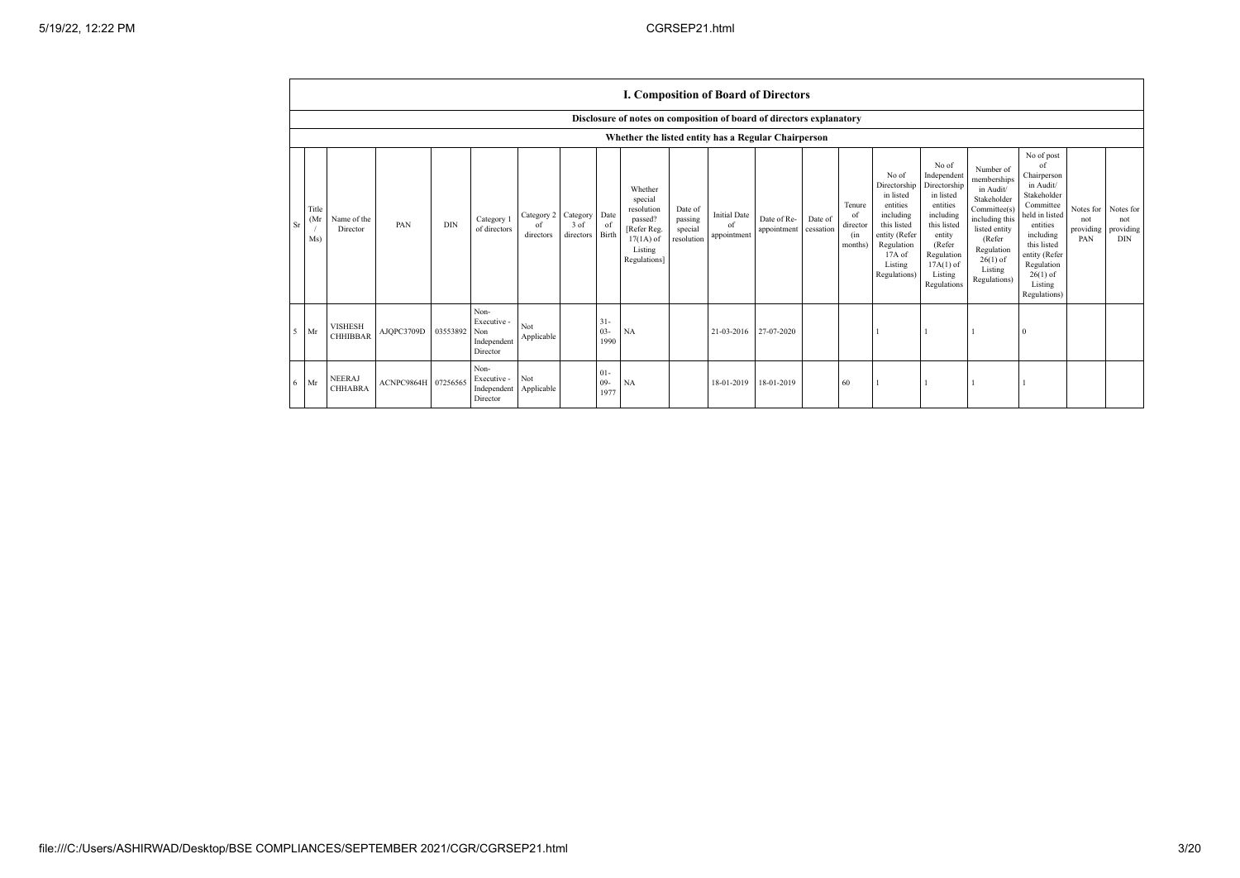|    |                                                                      |                                   |                     |              |                                                |                               |                                    |                          |                                                                                                      |                                             |                                          | <b>I. Composition of Board of Directors</b> |                      |                                                       |                                                                                                                                                |                                                                                                                                                                      |                                                                                                                                                                          |                                                                                                                                                                                                            |                                      |                                               |
|----|----------------------------------------------------------------------|-----------------------------------|---------------------|--------------|------------------------------------------------|-------------------------------|------------------------------------|--------------------------|------------------------------------------------------------------------------------------------------|---------------------------------------------|------------------------------------------|---------------------------------------------|----------------------|-------------------------------------------------------|------------------------------------------------------------------------------------------------------------------------------------------------|----------------------------------------------------------------------------------------------------------------------------------------------------------------------|--------------------------------------------------------------------------------------------------------------------------------------------------------------------------|------------------------------------------------------------------------------------------------------------------------------------------------------------------------------------------------------------|--------------------------------------|-----------------------------------------------|
|    | Disclosure of notes on composition of board of directors explanatory |                                   |                     |              |                                                |                               |                                    |                          |                                                                                                      |                                             |                                          |                                             |                      |                                                       |                                                                                                                                                |                                                                                                                                                                      |                                                                                                                                                                          |                                                                                                                                                                                                            |                                      |                                               |
|    |                                                                      |                                   |                     |              |                                                |                               |                                    |                          | Whether the listed entity has a Regular Chairperson                                                  |                                             |                                          |                                             |                      |                                                       |                                                                                                                                                |                                                                                                                                                                      |                                                                                                                                                                          |                                                                                                                                                                                                            |                                      |                                               |
| Sr | Title<br>Mr<br>Ms)                                                   | Name of the<br>Director           | PAN                 | <b>DIN</b>   | Category 1<br>of directors                     | Category 2<br>of<br>directors | Category Date<br>3 of<br>directors | of<br>Birth              | Whether<br>special<br>resolution<br>passed?<br>[Refer Reg.<br>$17(1A)$ of<br>Listing<br>Regulations] | Date of<br>passing<br>special<br>resolution | <b>Initial Date</b><br>of<br>appointment | Date of Re-<br>appointment                  | Date of<br>cessation | Tenure<br><sup>of</sup><br>director<br>(in<br>months) | No of<br>Directorship<br>in listed<br>entities<br>including<br>this listed<br>entity (Refer<br>Regulation<br>17A of<br>Listing<br>Regulations) | No of<br>Independent<br>Directorship<br>in listed<br>entities<br>including<br>this listed<br>entity<br>(Refer<br>Regulation<br>$17A(1)$ of<br>Listing<br>Regulations | Number of<br>memberships<br>in Audit/<br>Stakeholder<br>Committee(s)<br>including this<br>listed entity<br>(Refer<br>Regulation<br>$26(1)$ of<br>Listing<br>Regulations) | No of post<br>of<br>Chairperson<br>in Audit/<br>Stakeholder<br>Committee<br>held in listed<br>entities<br>including<br>this listed<br>entity (Refer<br>Regulation<br>$26(1)$ of<br>Listing<br>Regulations) | Notes for<br>not<br>providing<br>PAN | Notes for<br>not<br>providing  <br><b>DIN</b> |
| 5  | Mr                                                                   | <b>VISHESH</b><br><b>CHHIBBAR</b> | AJQPC3709D          | 03553892 Non | Non-<br>Executive -<br>Independent<br>Director | Not<br>Applicable             |                                    | $31 -$<br>$03 -$<br>1990 | NA                                                                                                   |                                             | 21-03-2016                               | 27-07-2020                                  |                      |                                                       |                                                                                                                                                |                                                                                                                                                                      |                                                                                                                                                                          |                                                                                                                                                                                                            |                                      |                                               |
| 6  | Mr                                                                   | <b>NEERAJ</b><br><b>CHHABRA</b>   | ACNPC9864H 07256565 |              | Non-<br>Executive -<br>Independent<br>Director | Not<br>Applicable             |                                    | $01 -$<br>$09 -$<br>1977 | NA                                                                                                   |                                             | 18-01-2019                               | 18-01-2019                                  |                      | 60                                                    |                                                                                                                                                |                                                                                                                                                                      |                                                                                                                                                                          |                                                                                                                                                                                                            |                                      |                                               |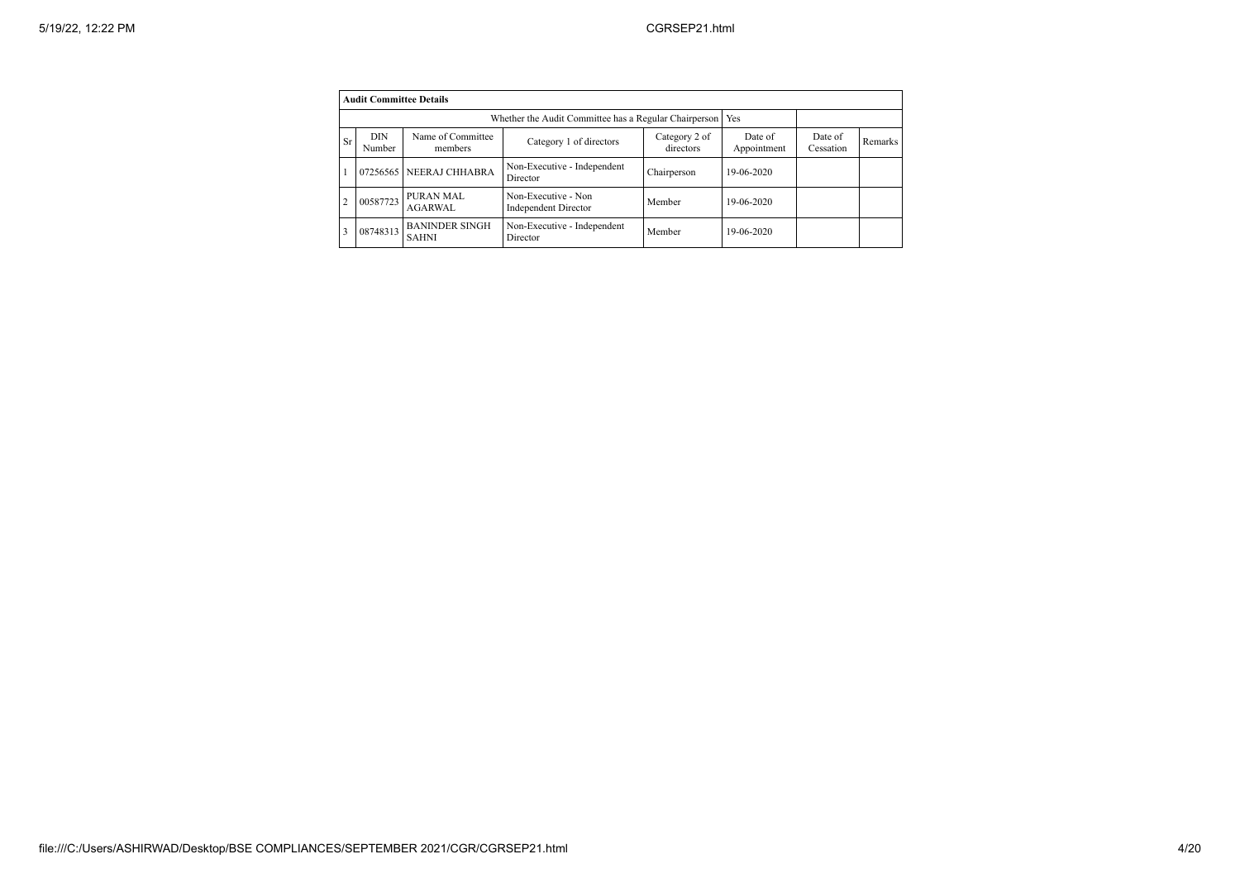|                | <b>Audit Committee Details</b> |                                                              |                                             |                            |                        |                      |         |  |  |  |
|----------------|--------------------------------|--------------------------------------------------------------|---------------------------------------------|----------------------------|------------------------|----------------------|---------|--|--|--|
|                |                                | Whether the Audit Committee has a Regular Chairperson<br>Yes |                                             |                            |                        |                      |         |  |  |  |
| Sr             | <b>DIN</b><br>Number           | Name of Committee<br>members                                 | Category 1 of directors                     | Category 2 of<br>directors | Date of<br>Appointment | Date of<br>Cessation | Remarks |  |  |  |
|                | 07256565                       | NEERAJ CHHABRA                                               | Non-Executive - Independent<br>Director     | Chairperson                | 19-06-2020             |                      |         |  |  |  |
| $\overline{2}$ | 00587723                       | PURAN MAL<br>AGARWAL                                         | Non-Executive - Non<br>Independent Director | Member                     | 19-06-2020             |                      |         |  |  |  |
|                | 08748313                       | <b>BANINDER SINGH</b><br><b>SAHNI</b>                        | Non-Executive - Independent<br>Director     | Member                     | 19-06-2020             |                      |         |  |  |  |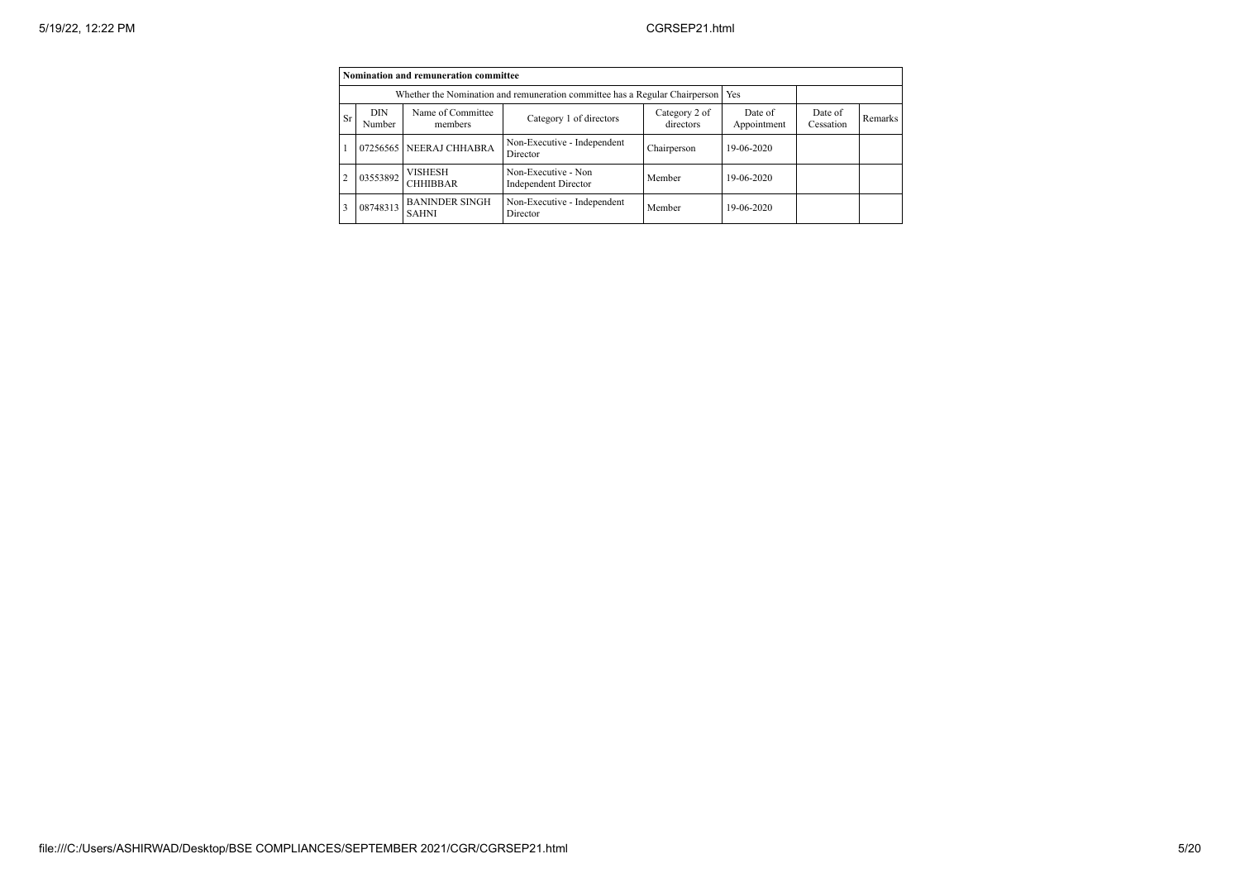|    |                                                                             | Nomination and remuneration committee |                                             |                      |            |  |  |
|----|-----------------------------------------------------------------------------|---------------------------------------|---------------------------------------------|----------------------|------------|--|--|
|    | Whether the Nomination and remuneration committee has a Regular Chairperson | Yes                                   |                                             |                      |            |  |  |
| Sr | <b>DIN</b><br>Number                                                        | Name of Committee<br>members          | Date of<br>Appointment                      | Date of<br>Cessation | Remarks    |  |  |
|    | 07256565                                                                    | NEERAJ CHHABRA                        | Non-Executive - Independent<br>Director     | Chairperson          | 19-06-2020 |  |  |
|    | 03553892                                                                    | <b>VISHESH</b><br><b>CHHIBBAR</b>     | Non-Executive - Non<br>Independent Director | Member               | 19-06-2020 |  |  |
|    | 08748313                                                                    | <b>BANINDER SINGH</b><br><b>SAHNI</b> | Non-Executive - Independent<br>Director     | Member               | 19-06-2020 |  |  |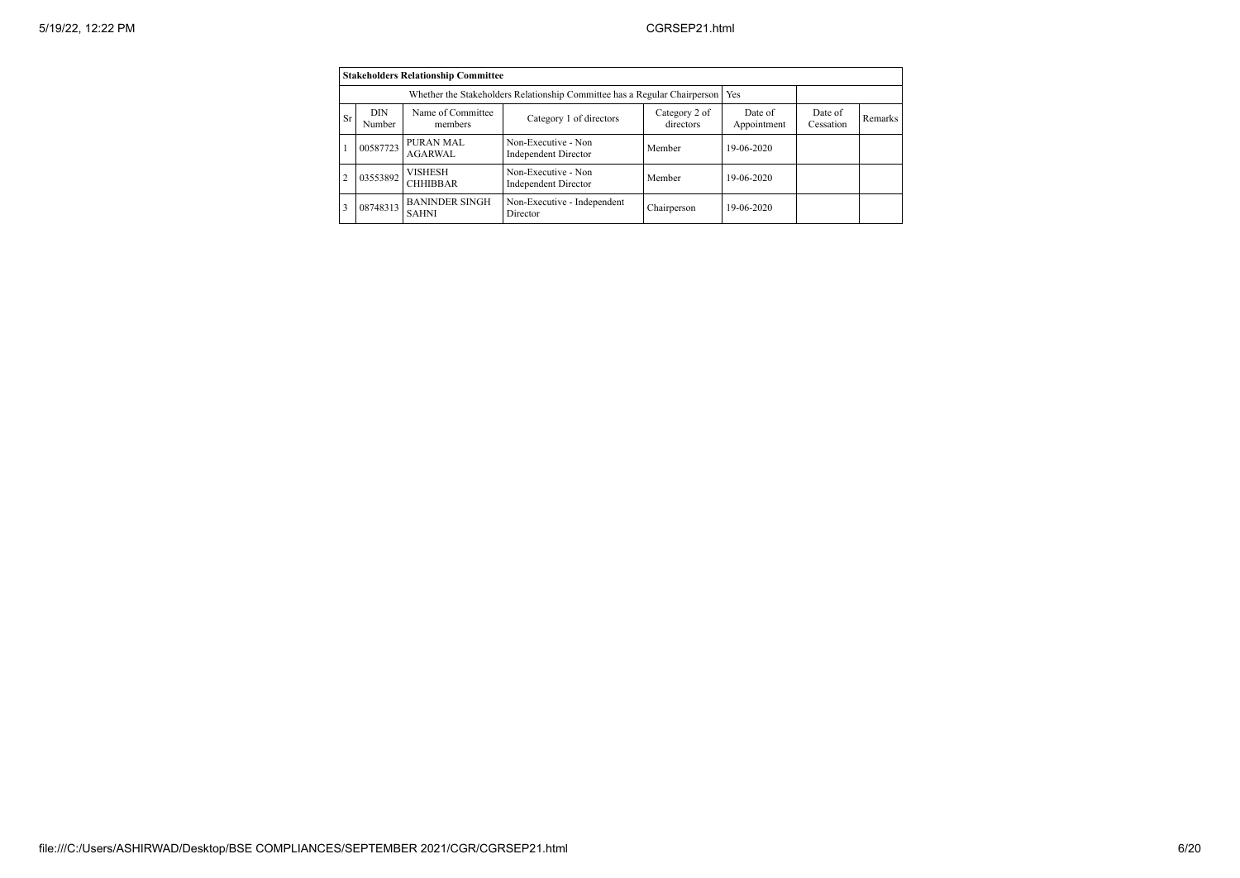|                | <b>Stakeholders Relationship Committee</b> |                                       |                                             |                            |                        |                      |         |  |  |  |
|----------------|--------------------------------------------|---------------------------------------|---------------------------------------------|----------------------------|------------------------|----------------------|---------|--|--|--|
|                |                                            |                                       |                                             |                            |                        |                      |         |  |  |  |
| Sr             | <b>DIN</b><br>Number                       | Name of Committee<br>members          | Category 1 of directors                     | Category 2 of<br>directors | Date of<br>Appointment | Date of<br>Cessation | Remarks |  |  |  |
|                | 00587723                                   | PURAN MAL<br><b>AGARWAL</b>           | Non-Executive - Non<br>Independent Director | Member                     | 19-06-2020             |                      |         |  |  |  |
| $\overline{c}$ | 03553892                                   | <b>VISHESH</b><br><b>CHHIBBAR</b>     | Non-Executive - Non<br>Independent Director | Member                     | 19-06-2020             |                      |         |  |  |  |
| 3              | 08748313                                   | <b>BANINDER SINGH</b><br><b>SAHNI</b> | Non-Executive - Independent<br>Director     | Chairperson                | 19-06-2020             |                      |         |  |  |  |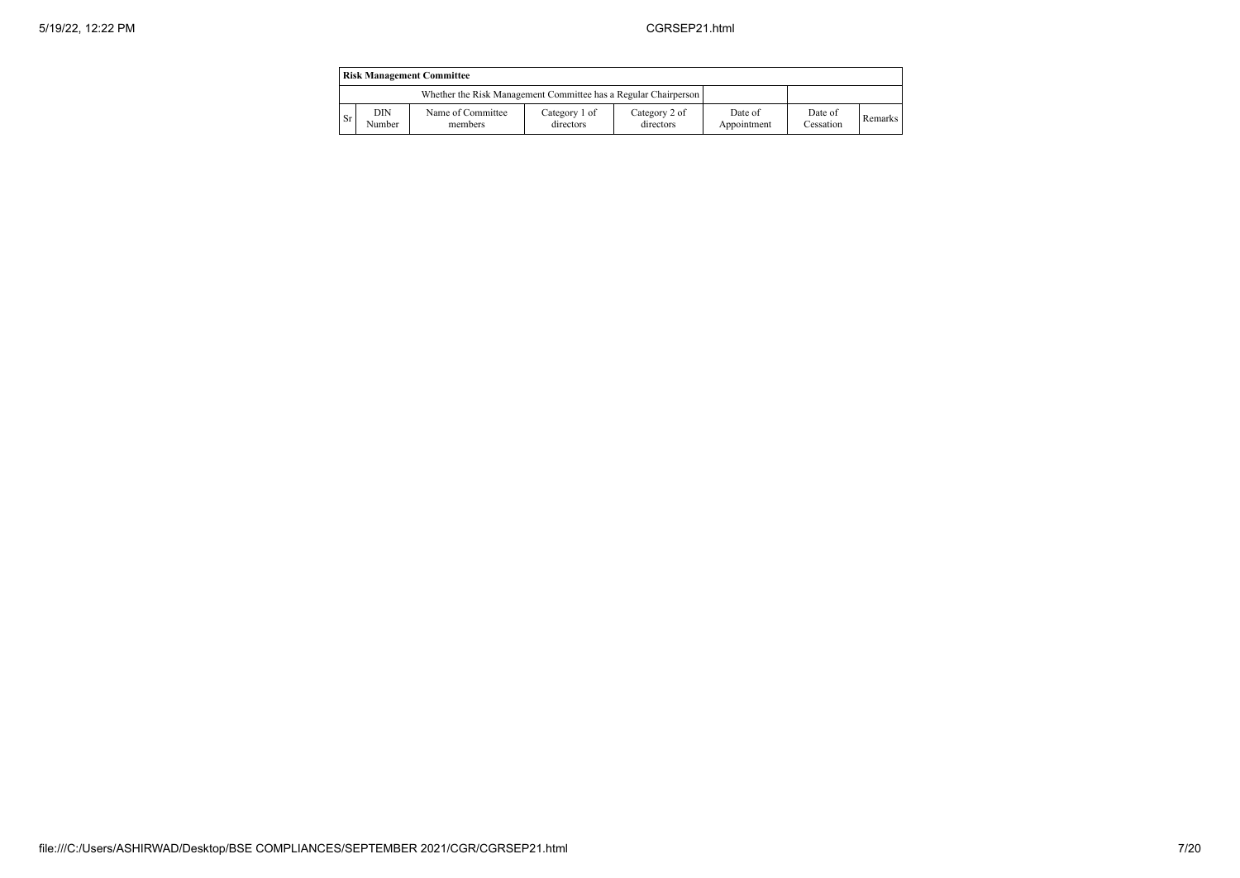|           | <b>Risk Management Committee</b>                                |                              |                            |                            |                        |                      |                |  |  |
|-----------|-----------------------------------------------------------------|------------------------------|----------------------------|----------------------------|------------------------|----------------------|----------------|--|--|
|           | Whether the Risk Management Committee has a Regular Chairperson |                              |                            |                            |                        |                      |                |  |  |
| <b>Sr</b> | DIN<br>Number                                                   | Name of Committee<br>members | Category 1 of<br>directors | Category 2 of<br>directors | Date of<br>Appointment | Date of<br>Cessation | <b>Remarks</b> |  |  |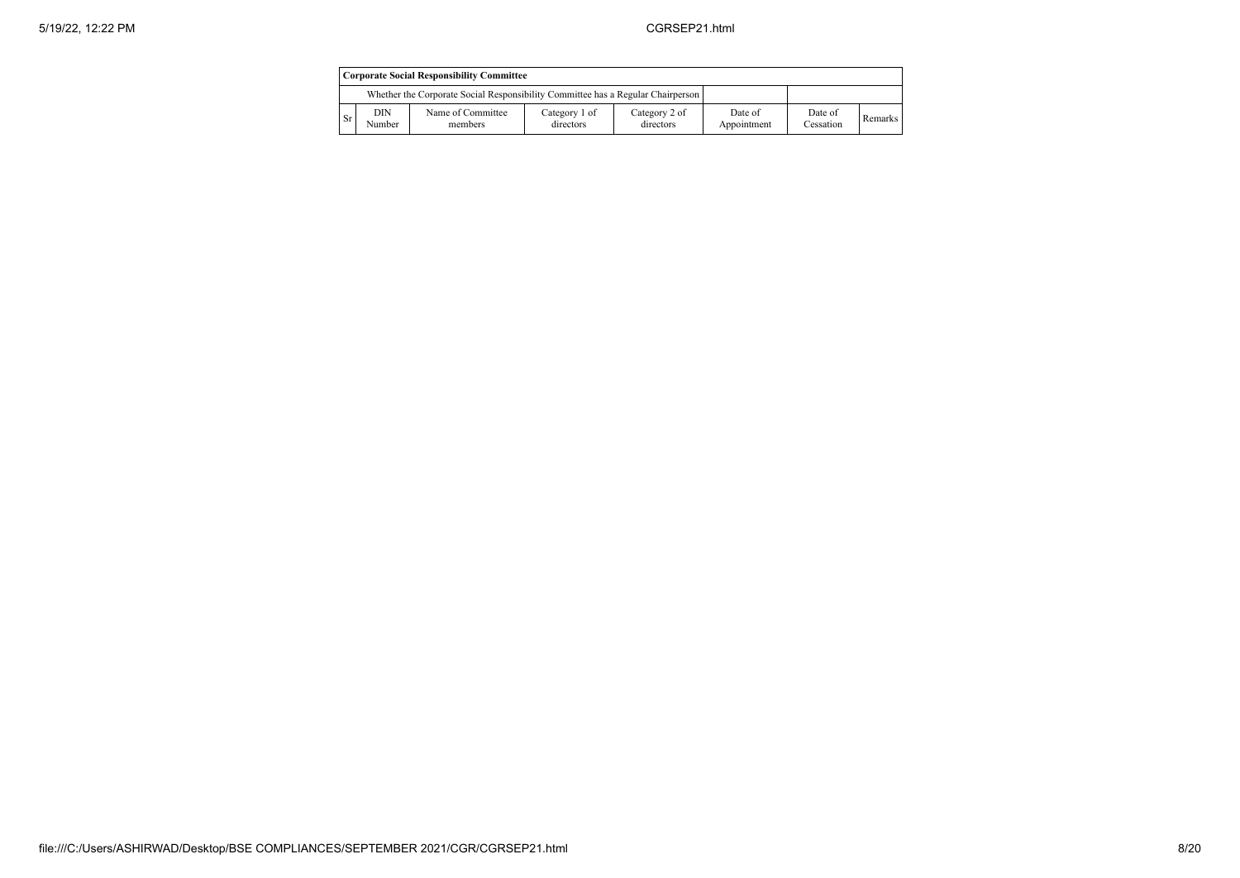|                        | Corporate Social Responsibility Committee                                       |                              |                            |                            |                        |                      |         |  |  |
|------------------------|---------------------------------------------------------------------------------|------------------------------|----------------------------|----------------------------|------------------------|----------------------|---------|--|--|
|                        | Whether the Corporate Social Responsibility Committee has a Regular Chairperson |                              |                            |                            |                        |                      |         |  |  |
| $\overline{\text{Sr}}$ | DIN<br>Number                                                                   | Name of Committee<br>members | Category 1 of<br>directors | Category 2 of<br>directors | Date of<br>Appointment | Date of<br>Cessation | Remarks |  |  |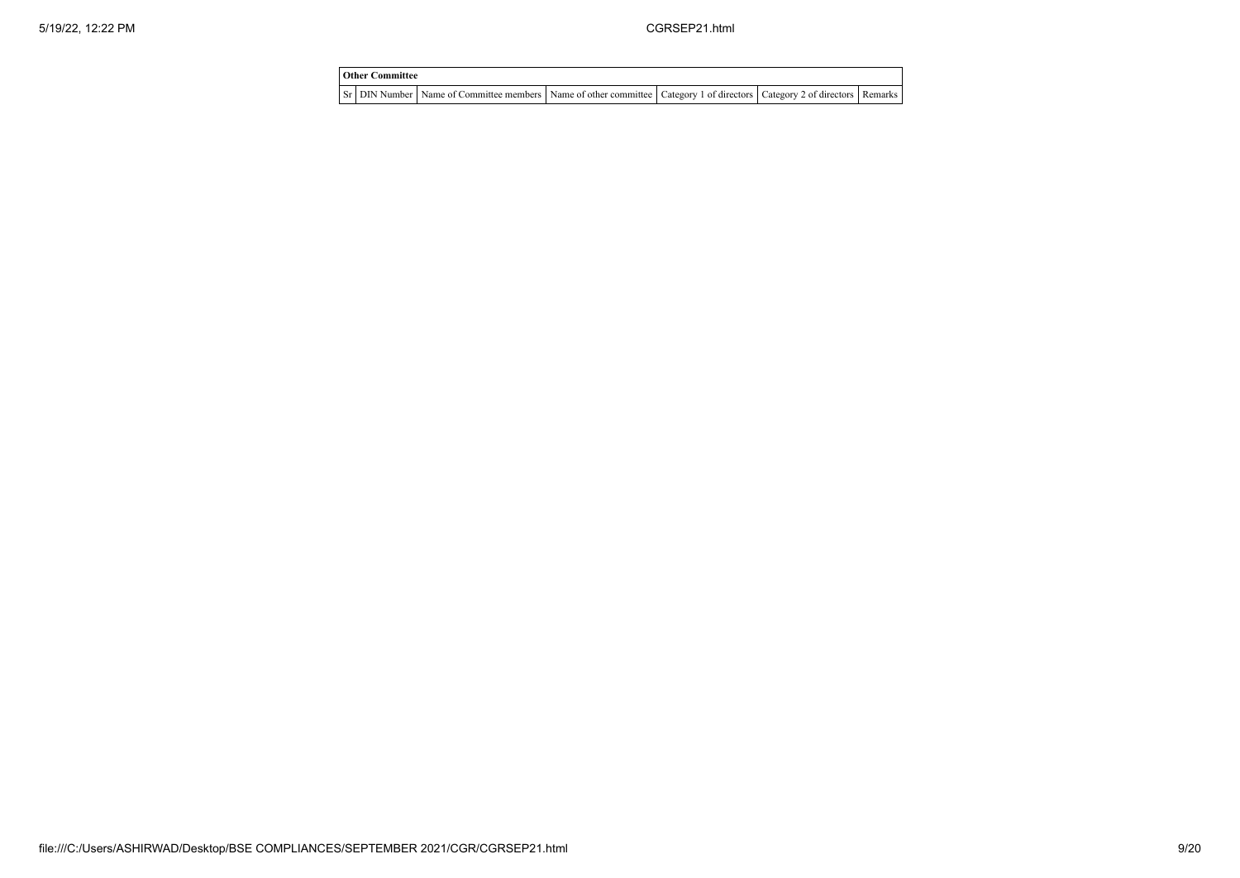| <b>Other Committee</b> |                                                                                                                                     |  |  |  |  |  |  |  |
|------------------------|-------------------------------------------------------------------------------------------------------------------------------------|--|--|--|--|--|--|--|
|                        | Sr   DIN Number   Name of Committee members   Name of other committee   Category 1 of directors   Category 2 of directors   Remarks |  |  |  |  |  |  |  |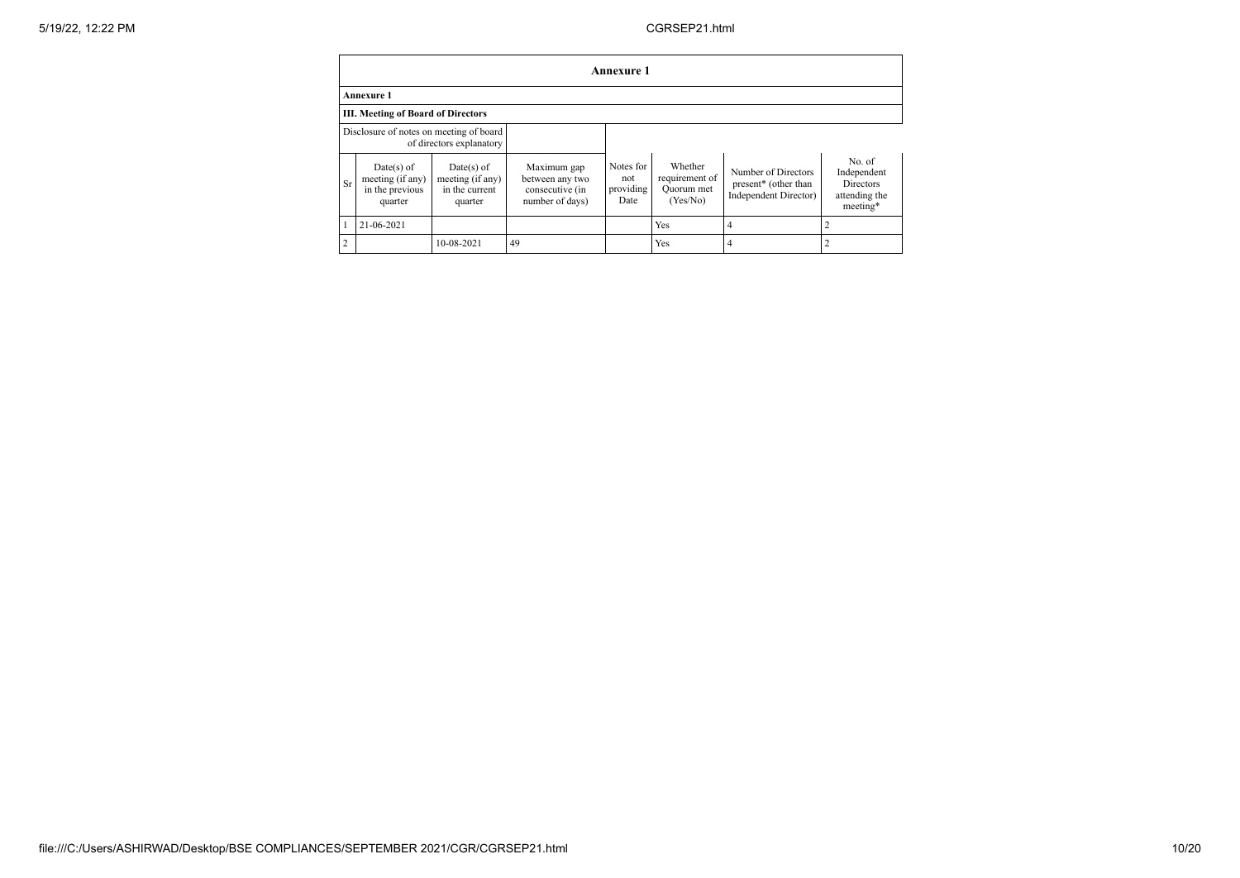|                | <b>Annexure 1</b>                                              |                                                               |                                                                      |                                       |                                                     |                                                                                  |                                                                        |  |  |
|----------------|----------------------------------------------------------------|---------------------------------------------------------------|----------------------------------------------------------------------|---------------------------------------|-----------------------------------------------------|----------------------------------------------------------------------------------|------------------------------------------------------------------------|--|--|
|                | <b>Annexure 1</b>                                              |                                                               |                                                                      |                                       |                                                     |                                                                                  |                                                                        |  |  |
|                | III. Meeting of Board of Directors                             |                                                               |                                                                      |                                       |                                                     |                                                                                  |                                                                        |  |  |
|                | Disclosure of notes on meeting of board                        | of directors explanatory                                      |                                                                      |                                       |                                                     |                                                                                  |                                                                        |  |  |
| <b>Sr</b>      | $Date(s)$ of<br>meeting (if any)<br>in the previous<br>quarter | $Date(s)$ of<br>meeting (if any)<br>in the current<br>quarter | Maximum gap<br>between any two<br>consecutive (in<br>number of days) | Notes for<br>not<br>providing<br>Date | Whether<br>requirement of<br>Quorum met<br>(Yes/No) | Number of Directors<br>present <sup>*</sup> (other than<br>Independent Director) | No. of<br>Independent<br><b>Directors</b><br>attending the<br>meeting* |  |  |
|                | 21-06-2021                                                     |                                                               |                                                                      |                                       | Yes                                                 | 4                                                                                |                                                                        |  |  |
| $\overline{2}$ |                                                                | 10-08-2021                                                    | 49                                                                   |                                       | Yes                                                 |                                                                                  | 2                                                                      |  |  |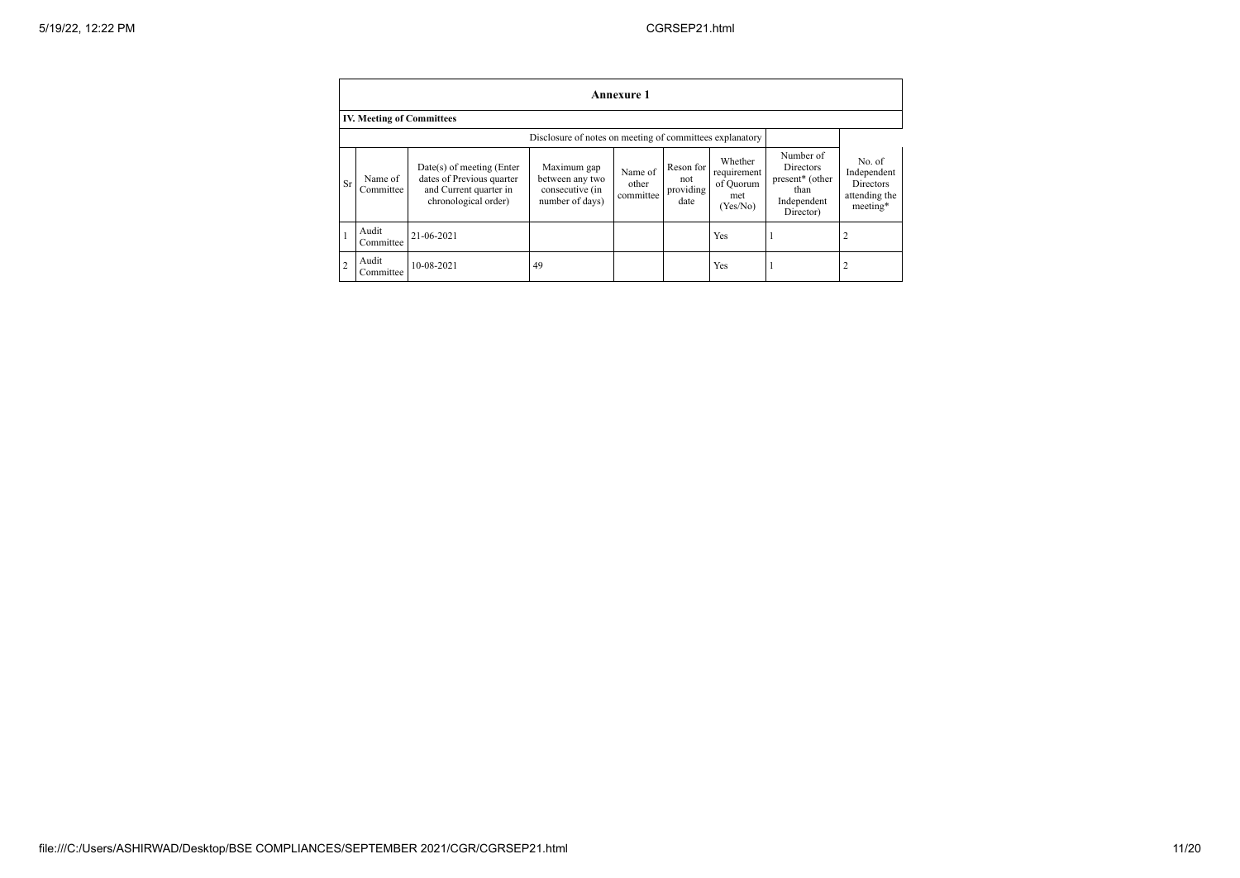|                | <b>Annexure 1</b>                                        |                                                                                                            |                                                                      |                               |                                       |                                                        |                                                                                           |                                                                        |  |
|----------------|----------------------------------------------------------|------------------------------------------------------------------------------------------------------------|----------------------------------------------------------------------|-------------------------------|---------------------------------------|--------------------------------------------------------|-------------------------------------------------------------------------------------------|------------------------------------------------------------------------|--|
|                | <b>IV. Meeting of Committees</b>                         |                                                                                                            |                                                                      |                               |                                       |                                                        |                                                                                           |                                                                        |  |
|                | Disclosure of notes on meeting of committees explanatory |                                                                                                            |                                                                      |                               |                                       |                                                        |                                                                                           |                                                                        |  |
| Sr             | Name of<br>Committee                                     | $Date(s)$ of meeting (Enter<br>dates of Previous quarter<br>and Current quarter in<br>chronological order) | Maximum gap<br>between any two<br>consecutive (in<br>number of days) | Name of<br>other<br>committee | Reson for<br>not<br>providing<br>date | Whether<br>requirement<br>of Quorum<br>met<br>(Yes/No) | Number of<br>Directors<br>present <sup>*</sup> (other<br>than<br>Independent<br>Director) | No. of<br>Independent<br><b>Directors</b><br>attending the<br>meeting* |  |
|                | Audit<br>Committee                                       | 21-06-2021                                                                                                 |                                                                      |                               |                                       | Yes                                                    |                                                                                           | 2                                                                      |  |
| $\overline{2}$ | Audit<br>Committee                                       | 10-08-2021                                                                                                 | 49                                                                   |                               |                                       | Yes                                                    |                                                                                           | 2                                                                      |  |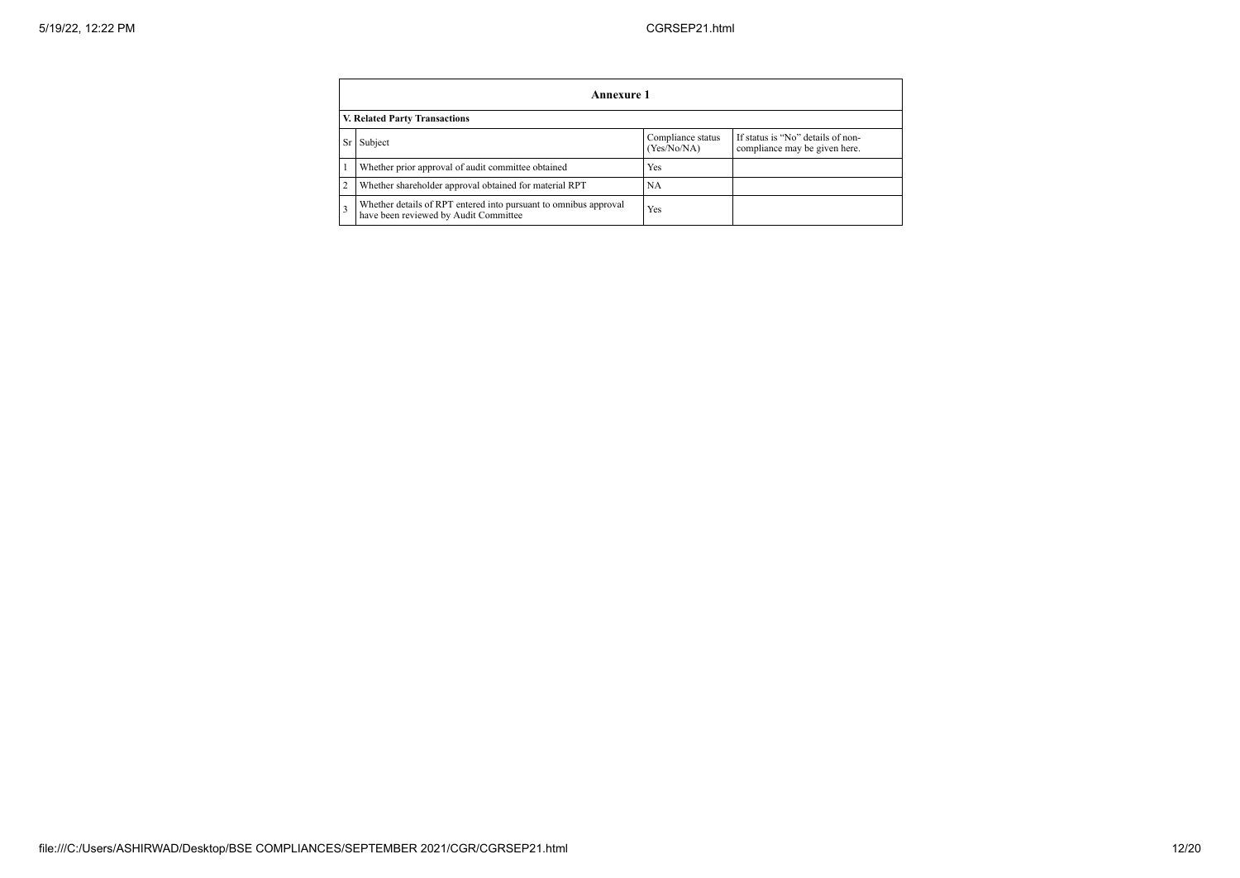|                | Annexure 1                                                                                                        |     |  |  |  |  |  |  |  |
|----------------|-------------------------------------------------------------------------------------------------------------------|-----|--|--|--|--|--|--|--|
|                | V. Related Party Transactions                                                                                     |     |  |  |  |  |  |  |  |
| <b>Sr</b>      | If status is "No" details of non-<br>Compliance status<br>Subject<br>(Yes/No/NA)<br>compliance may be given here. |     |  |  |  |  |  |  |  |
|                | Whether prior approval of audit committee obtained                                                                | Yes |  |  |  |  |  |  |  |
| $\overline{2}$ | Whether shareholder approval obtained for material RPT                                                            | NA  |  |  |  |  |  |  |  |
|                | Whether details of RPT entered into pursuant to omnibus approval<br>have been reviewed by Audit Committee         | Yes |  |  |  |  |  |  |  |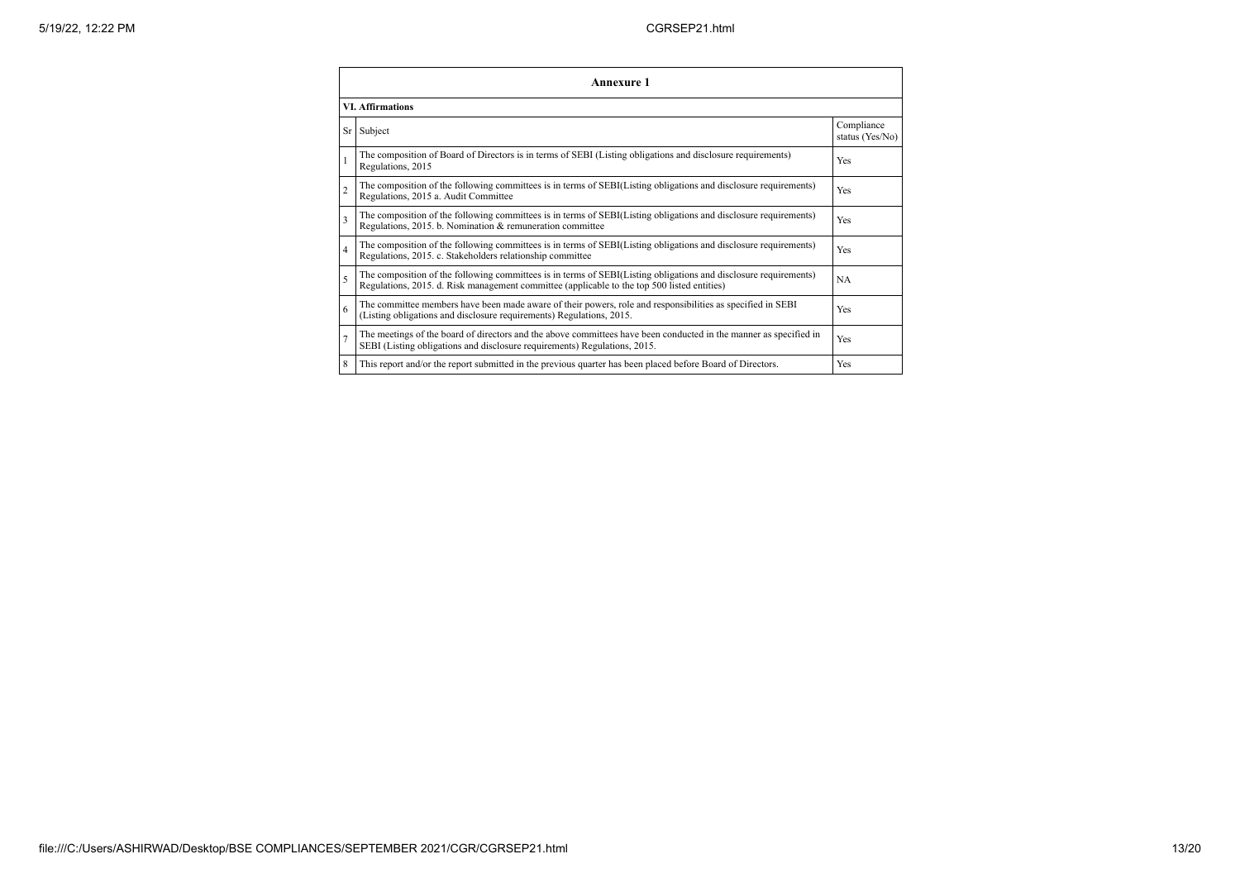|                | <b>Annexure 1</b>                                                                                                                                                                                               |                               |  |  |
|----------------|-----------------------------------------------------------------------------------------------------------------------------------------------------------------------------------------------------------------|-------------------------------|--|--|
|                | <b>VI. Affirmations</b>                                                                                                                                                                                         |                               |  |  |
|                | Sr Subject                                                                                                                                                                                                      | Compliance<br>status (Yes/No) |  |  |
|                | The composition of Board of Directors is in terms of SEBI (Listing obligations and disclosure requirements)<br>Regulations, 2015                                                                                | Yes                           |  |  |
| $\overline{c}$ | The composition of the following committees is in terms of SEBI(Listing obligations and disclosure requirements)<br>Regulations, 2015 a. Audit Committee                                                        | Yes                           |  |  |
| 3              | The composition of the following committees is in terms of SEBI(Listing obligations and disclosure requirements)<br>Regulations, 2015. b. Nomination & remuneration committee                                   | Yes                           |  |  |
| $\overline{4}$ | The composition of the following committees is in terms of SEBI(Listing obligations and disclosure requirements)<br>Regulations, 2015. c. Stakeholders relationship committee                                   | Yes                           |  |  |
| 5              | The composition of the following committees is in terms of SEBI(Listing obligations and disclosure requirements)<br>Regulations, 2015. d. Risk management committee (applicable to the top 500 listed entities) | <b>NA</b>                     |  |  |
| 6              | The committee members have been made aware of their powers, role and responsibilities as specified in SEBI<br>(Listing obligations and disclosure requirements) Regulations, 2015.                              | Yes                           |  |  |
|                | The meetings of the board of directors and the above committees have been conducted in the manner as specified in<br>SEBI (Listing obligations and disclosure requirements) Regulations, 2015.                  | Yes                           |  |  |
| 8              | This report and/or the report submitted in the previous quarter has been placed before Board of Directors.                                                                                                      | Yes                           |  |  |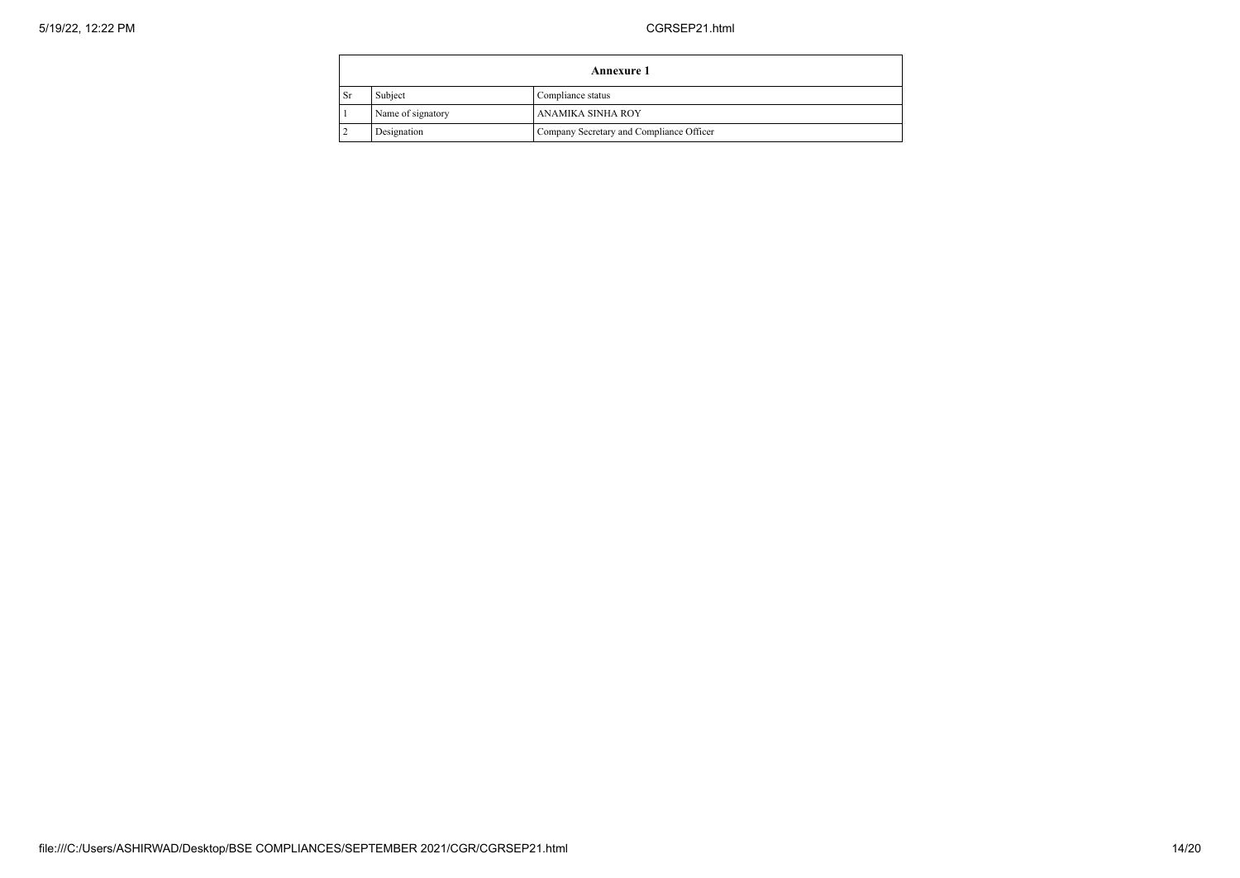| <b>Annexure 1</b> |                   |                                          |  |
|-------------------|-------------------|------------------------------------------|--|
| Sr                | Subject           | Compliance status                        |  |
|                   | Name of signatory | ANAMIKA SINHA ROY                        |  |
|                   | Designation       | Company Secretary and Compliance Officer |  |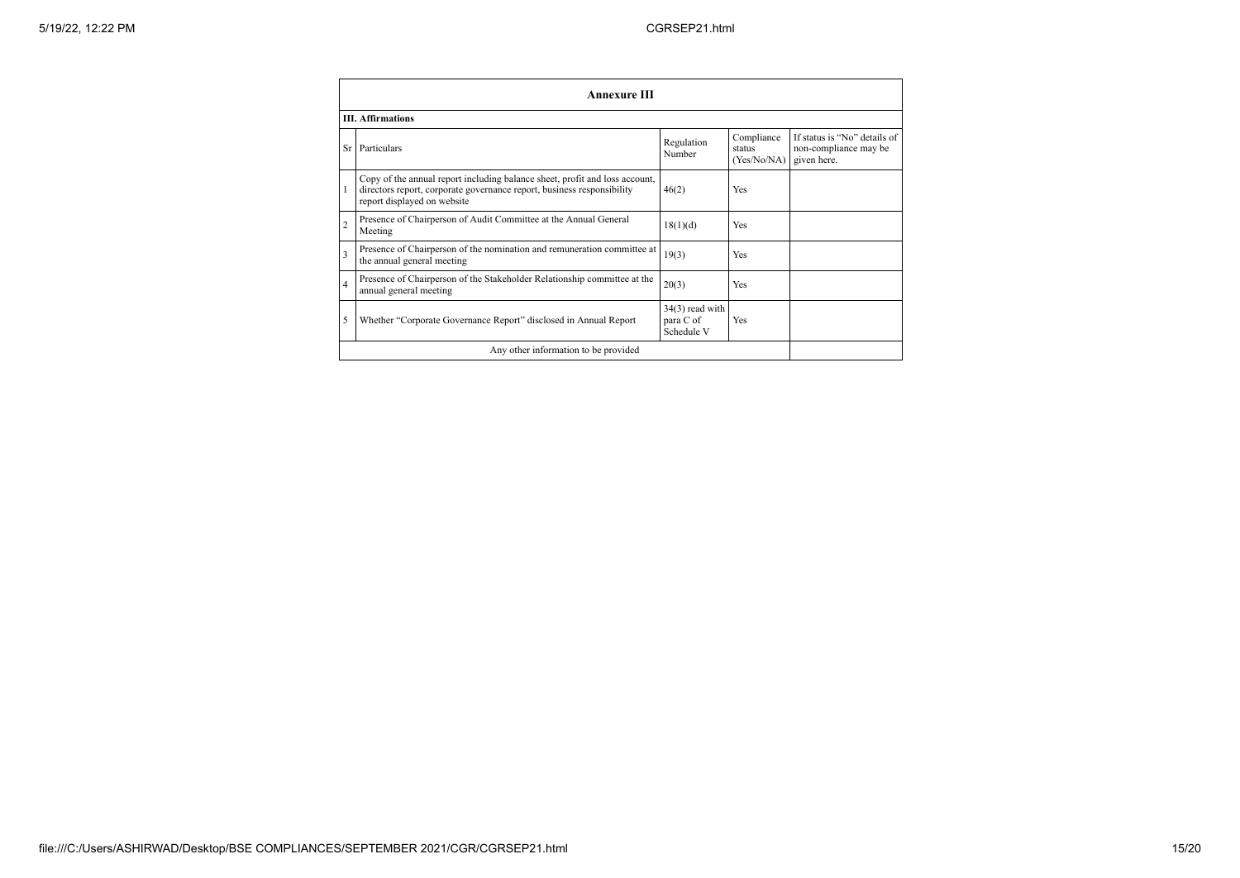|                | <b>Annexure III</b>                                                                                                                                                                  |                                              |                                     |                                                                      |
|----------------|--------------------------------------------------------------------------------------------------------------------------------------------------------------------------------------|----------------------------------------------|-------------------------------------|----------------------------------------------------------------------|
|                | <b>III.</b> Affirmations                                                                                                                                                             |                                              |                                     |                                                                      |
|                | Sr Particulars                                                                                                                                                                       | Regulation<br>Number                         | Compliance<br>status<br>(Yes/No/NA) | If status is "No" details of<br>non-compliance may be<br>given here. |
|                | Copy of the annual report including balance sheet, profit and loss account,<br>directors report, corporate governance report, business responsibility<br>report displayed on website | 46(2)                                        | Yes                                 |                                                                      |
|                | Presence of Chairperson of Audit Committee at the Annual General<br>Meeting                                                                                                          | 18(1)(d)                                     | Yes                                 |                                                                      |
| 3              | Presence of Chairperson of the nomination and remuneration committee at<br>the annual general meeting                                                                                | 19(3)                                        | Yes                                 |                                                                      |
| $\overline{4}$ | Presence of Chairperson of the Stakeholder Relationship committee at the<br>annual general meeting                                                                                   | 20(3)                                        | Yes                                 |                                                                      |
| 5              | Whether "Corporate Governance Report" disclosed in Annual Report                                                                                                                     | $34(3)$ read with<br>para C of<br>Schedule V | Yes                                 |                                                                      |
|                | Any other information to be provided                                                                                                                                                 |                                              |                                     |                                                                      |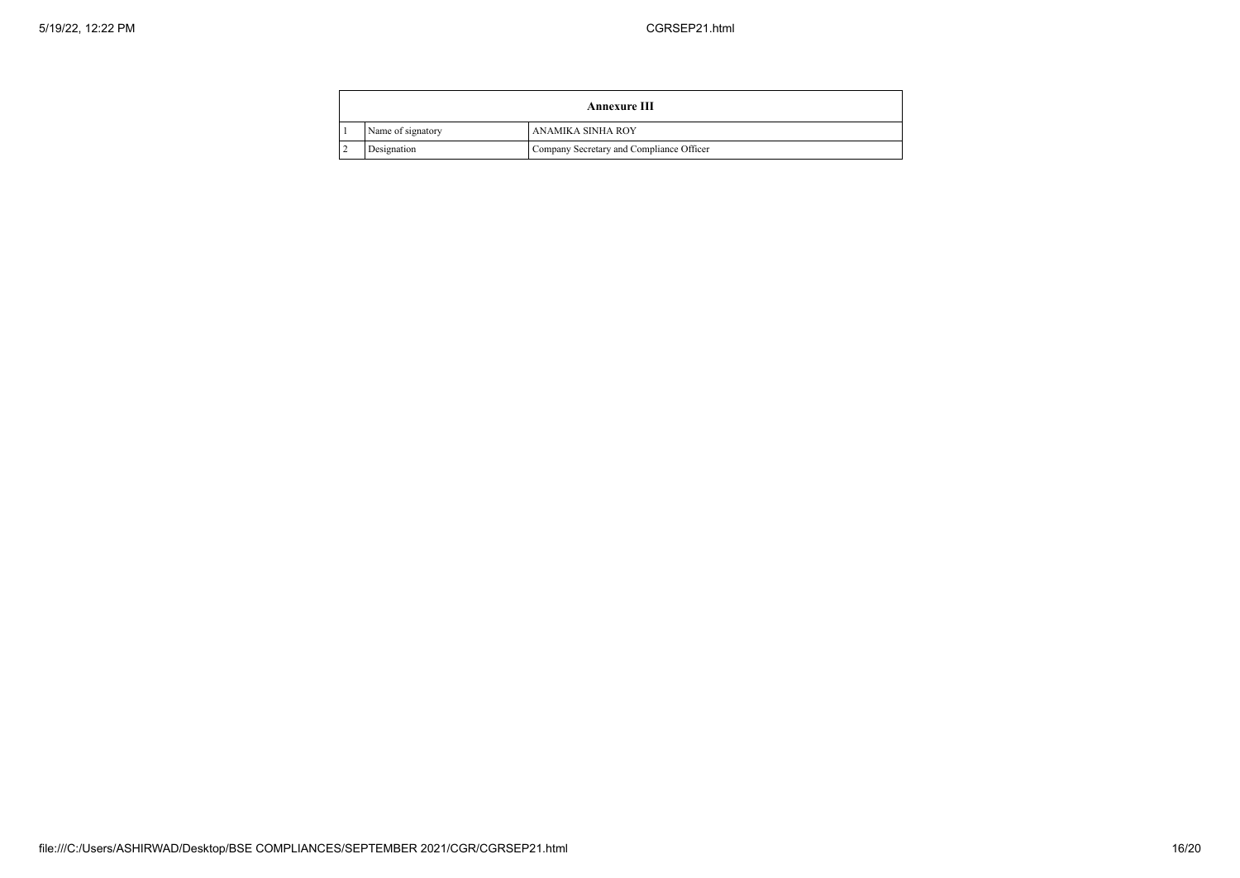| <b>Annexure III</b> |                   |                                          |
|---------------------|-------------------|------------------------------------------|
|                     | Name of signatory | ANAMIKA SINHA ROY                        |
|                     | Designation       | Company Secretary and Compliance Officer |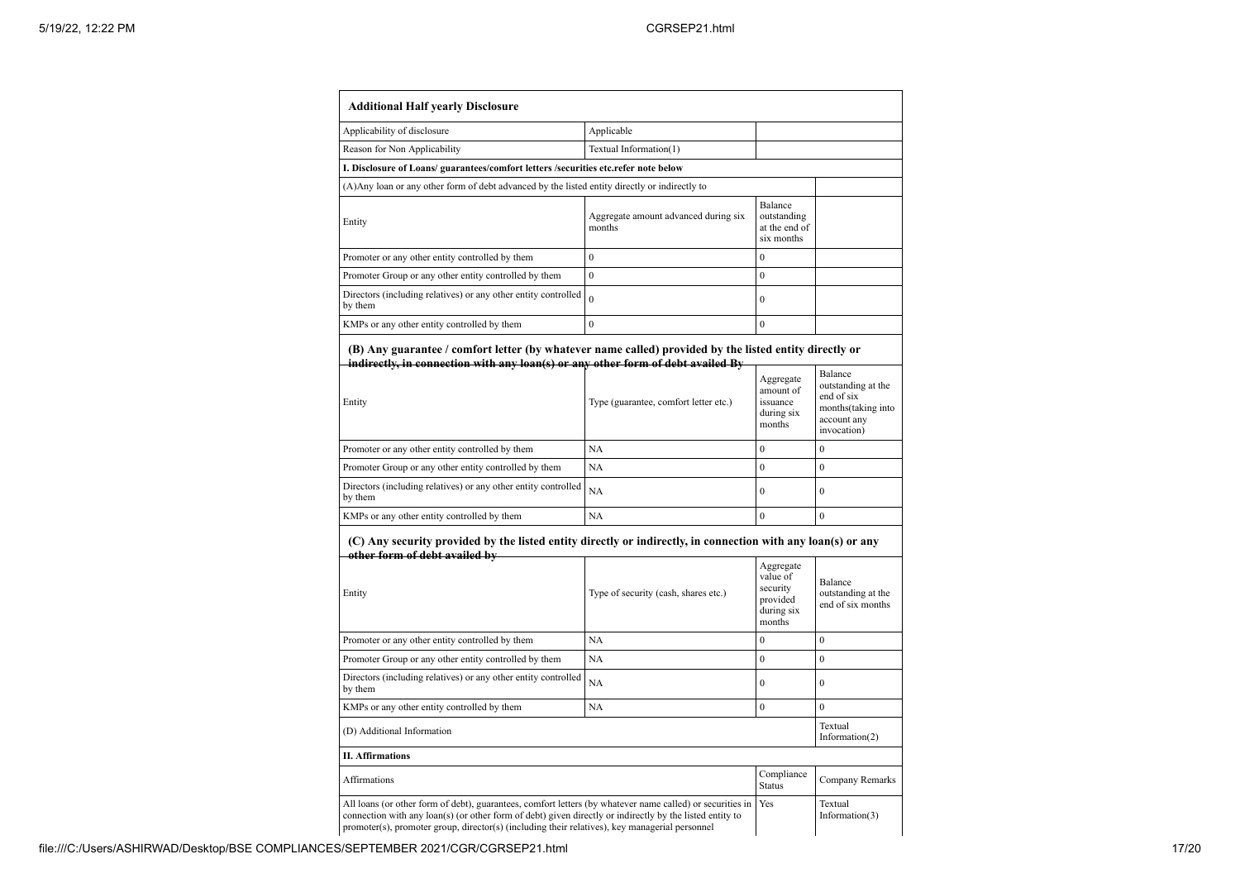| <b>Additional Half yearly Disclosure</b>                                                                                                                                                            |                                                                                                          |                                                                       |                                                                   |
|-----------------------------------------------------------------------------------------------------------------------------------------------------------------------------------------------------|----------------------------------------------------------------------------------------------------------|-----------------------------------------------------------------------|-------------------------------------------------------------------|
| Applicability of disclosure                                                                                                                                                                         | Applicable                                                                                               |                                                                       |                                                                   |
| Reason for Non Applicability                                                                                                                                                                        | Textual Information(1)                                                                                   |                                                                       |                                                                   |
| I. Disclosure of Loans/ guarantees/comfort letters /securities etc.refer note below                                                                                                                 |                                                                                                          |                                                                       |                                                                   |
| (A) Any loan or any other form of debt advanced by the listed entity directly or indirectly to                                                                                                      |                                                                                                          |                                                                       |                                                                   |
| Entity                                                                                                                                                                                              | Aggregate amount advanced during six<br>months                                                           | Balance<br>outstanding<br>at the end of<br>six months                 |                                                                   |
| Promoter or any other entity controlled by them                                                                                                                                                     | $\mathbf{0}$                                                                                             | $\mathbf{0}$                                                          |                                                                   |
| Promoter Group or any other entity controlled by them                                                                                                                                               | $\mathbf{0}$                                                                                             | $\mathbf{0}$                                                          |                                                                   |
| Directors (including relatives) or any other entity controlled<br>by them                                                                                                                           | $\theta$                                                                                                 | $\mathbf{0}$                                                          |                                                                   |
| KMPs or any other entity controlled by them                                                                                                                                                         | $\mathbf{0}$                                                                                             | $\theta$                                                              |                                                                   |
| (B) Any guarantee / comfort letter (by whatever name called) provided by the listed entity directly or<br>indirectly, in connection with any loan(s) or any other form of debt availed By<br>Entity | Type (guarantee, comfort letter etc.)                                                                    | Aggregate<br>amount of<br>issuance                                    | Balance<br>outstanding at the<br>end of six<br>months(taking into |
|                                                                                                                                                                                                     |                                                                                                          | during six<br>months                                                  | account any<br>invocation)                                        |
| Promoter or any other entity controlled by them                                                                                                                                                     | NA                                                                                                       | $\mathbf{0}$                                                          | $\mathbf{0}$                                                      |
| Promoter Group or any other entity controlled by them                                                                                                                                               | <b>NA</b>                                                                                                | $\mathbf{0}$                                                          | $\mathbf{0}$                                                      |
| Directors (including relatives) or any other entity controlled<br>by them                                                                                                                           | <b>NA</b>                                                                                                | $\theta$                                                              | $\theta$                                                          |
| KMPs or any other entity controlled by them                                                                                                                                                         | NA                                                                                                       | $\overline{0}$                                                        | $\mathbf{0}$                                                      |
| (C) Any security provided by the listed entity directly or indirectly, in connection with any loan(s) or any<br>other form of debt availed by<br>Entity                                             | Type of security (cash, shares etc.)                                                                     | Aggregate<br>value of<br>security<br>provided<br>during six<br>months | Balance<br>outstanding at the<br>end of six months                |
| Promoter or any other entity controlled by them                                                                                                                                                     | NA                                                                                                       | $\boldsymbol{0}$                                                      | $\boldsymbol{0}$                                                  |
| Promoter Group or any other entity controlled by them                                                                                                                                               | <b>NA</b>                                                                                                | $\overline{0}$                                                        | $\theta$                                                          |
| Directors (including relatives) or any other entity controlled<br>by them                                                                                                                           | <b>NA</b>                                                                                                | $\boldsymbol{0}$                                                      | $\overline{0}$                                                    |
| KMPs or any other entity controlled by them                                                                                                                                                         | <b>NA</b>                                                                                                | $\overline{0}$                                                        | $\overline{0}$                                                    |
| (D) Additional Information                                                                                                                                                                          |                                                                                                          |                                                                       | Textual<br>Information $(2)$                                      |
| <b>II. Affirmations</b>                                                                                                                                                                             |                                                                                                          |                                                                       |                                                                   |
| Affirmations                                                                                                                                                                                        |                                                                                                          | Compliance<br><b>Status</b>                                           | Company Remarks                                                   |
| All loans (or other form of debt), guarantees, comfort letters (by whatever name called) or securities in                                                                                           | connection with any loan(s) (or other form of debt) given directly or indirectly by the listed entity to | Yes                                                                   | Textual<br>Information(3)                                         |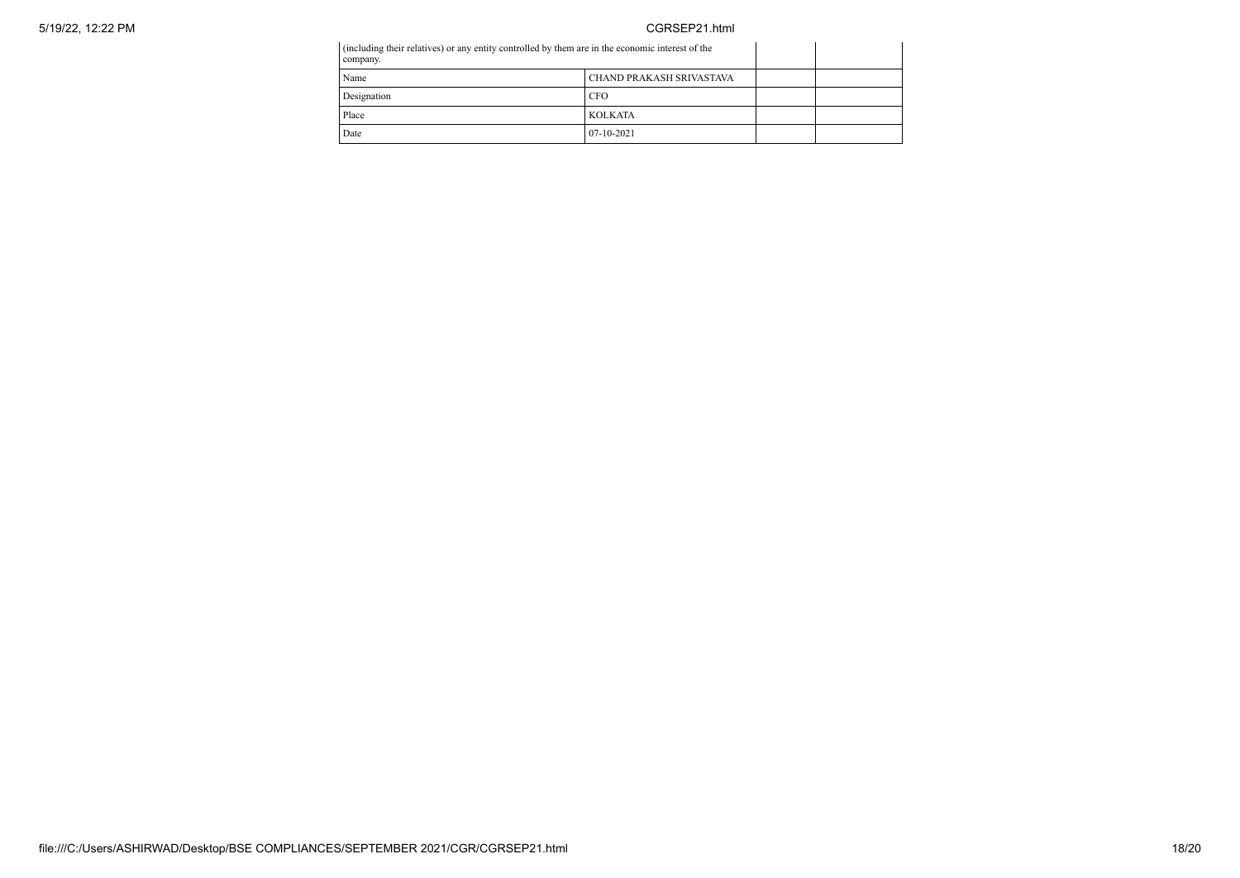| company.    | (including their relatives) or any entity controlled by them are in the economic interest of the |  |  |
|-------------|--------------------------------------------------------------------------------------------------|--|--|
| Name        | CHAND PRAKASH SRIVASTAVA                                                                         |  |  |
| Designation | <b>CFO</b>                                                                                       |  |  |
| Place       | <b>KOLKATA</b>                                                                                   |  |  |
| Date        | $07-10-2021$                                                                                     |  |  |